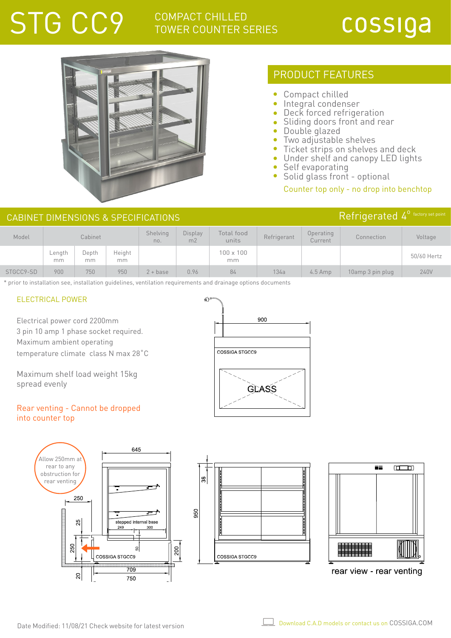# STG CC9 COMPACT CHILLED TOWER COUNTERS

## TOWER COUNTER SERIES

## cossiga



## PRODUCT FEATURES

- Compact chilled  $\bullet$
- Integral condenser
- Deck forced refrigeration
- Sliding doors front and rear
- Double glazed
- Two adjustable shelves
- $\bullet$ Ticket strips on shelves and deck
- Under shelf and canopy LED lights Ä
- Self evaporating  $\bullet$
- $\bullet$ Solid glass front - optional

### Counter top only - no drop into benchtop

| $\overline{R}$ efrigerated $4^{\circ}$ factory set poi<br>CABINET DIMENSIONS & SPECIFICATIONS |              |             |              |                        |                                  |                        |             |                      |            |             |
|-----------------------------------------------------------------------------------------------|--------------|-------------|--------------|------------------------|----------------------------------|------------------------|-------------|----------------------|------------|-------------|
| Model                                                                                         | Cabinet      |             |              | <b>Shelving</b><br>no. | <b>Display</b><br>m <sub>2</sub> | Total food<br>units    | Refrigerant | Operating<br>Current | Connection | Voltage     |
|                                                                                               | Lenath<br>mm | Depth<br>mm | Height<br>mm |                        |                                  | $100 \times 100$<br>mm |             |                      |            | 50/60 Hertz |

STGCC9-SD 900 750 950 2+ base 0.96 84 134a 4.5 Amp 10amp 3 pin plug 240V

\* prior to installation see, installation guidelines, ventilation requirements and drainage options documents

### ELECTRICAL POWER

Electrical power cord 2200mm 3 pin 10 amp 1 phase socket required. Maximum ambient operating temperature climate class N max 28˚C

Maximum shelf load weight 15kg spread evenly

### Rear venting - Cannot be dropped into counter top







rear view - rear venting

900 COSSIGA STGCC9 **GLASS**